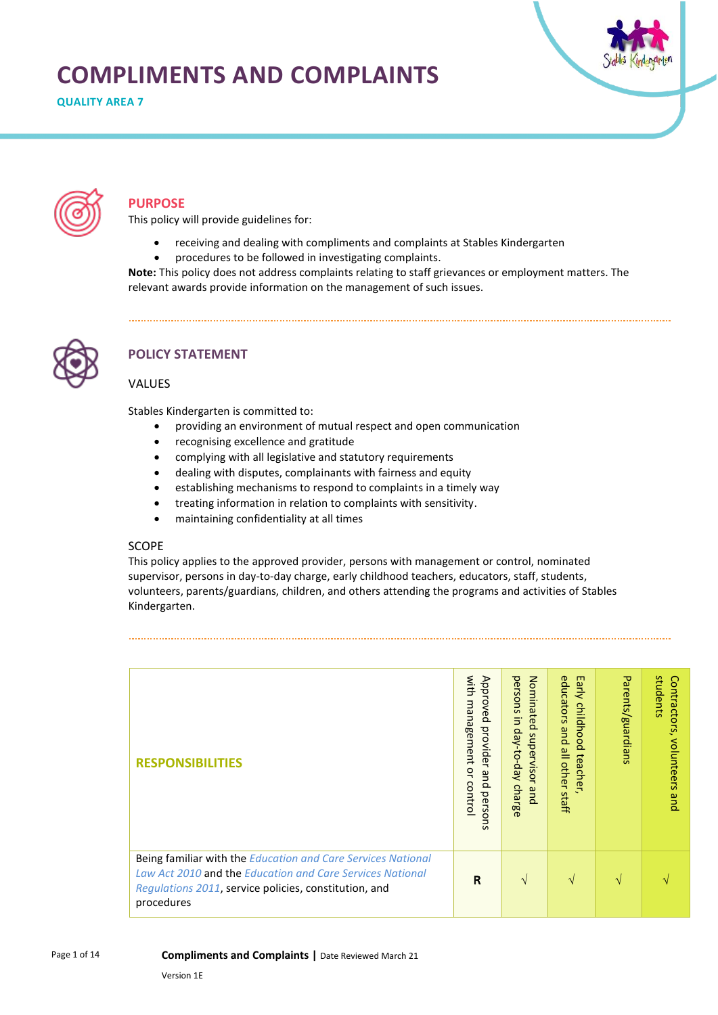# **COMPLIMENTS AND COMPLAINTS**

**QUALITY AREA 7** 





# **PURPOSE**

This policy will provide guidelines for:

- receiving and dealing with compliments and complaints at Stables Kindergarten
- procedures to be followed in investigating complaints.

**Note:** This policy does not address complaints relating to staff grievances or employment matters. The relevant awards provide information on the management of such issues.



# **POLICY STATEMENT**

#### VALUES

Stables Kindergarten is committed to:

- providing an environment of mutual respect and open communication
- recognising excellence and gratitude
- complying with all legislative and statutory requirements
- dealing with disputes, complainants with fairness and equity
- establishing mechanisms to respond to complaints in a timely way
- treating information in relation to complaints with sensitivity.
- maintaining confidentiality at all times

#### **SCOPE**

This policy applies to the approved provider, persons with management or control, nominated supervisor, persons in day-to-day charge, early childhood teachers, educators, staff, students, volunteers, parents/guardians, children, and others attending the programs and activities of Stables Kindergarten.

| <b>RESPONSIBILITIES</b>                                                                                                   | with<br>Approved<br>management<br>provider<br>ă<br>$\mathbf{g}$<br>contro<br>$\Omega$<br>perso<br>Ē | Nominated<br>persons<br>5<br>Aep-o <sub>-da</sub><br>supervisor<br>$\Omega$<br>and<br>harge | E3<br>educators<br>루<br>child<br>hood<br>pue<br>$\equiv$<br>teacher<br>other<br>staff | Parents/guardians | students<br>Contractors,<br>volunteers<br>pue |
|---------------------------------------------------------------------------------------------------------------------------|-----------------------------------------------------------------------------------------------------|---------------------------------------------------------------------------------------------|---------------------------------------------------------------------------------------|-------------------|-----------------------------------------------|
| Being familiar with the Education and Care Services National<br>Law Act 2010 and the Education and Care Services National |                                                                                                     |                                                                                             |                                                                                       |                   |                                               |
| Regulations 2011, service policies, constitution, and<br>procedures                                                       | R                                                                                                   | $\mathcal{N}$                                                                               | $\mathbf{v}$                                                                          | N                 |                                               |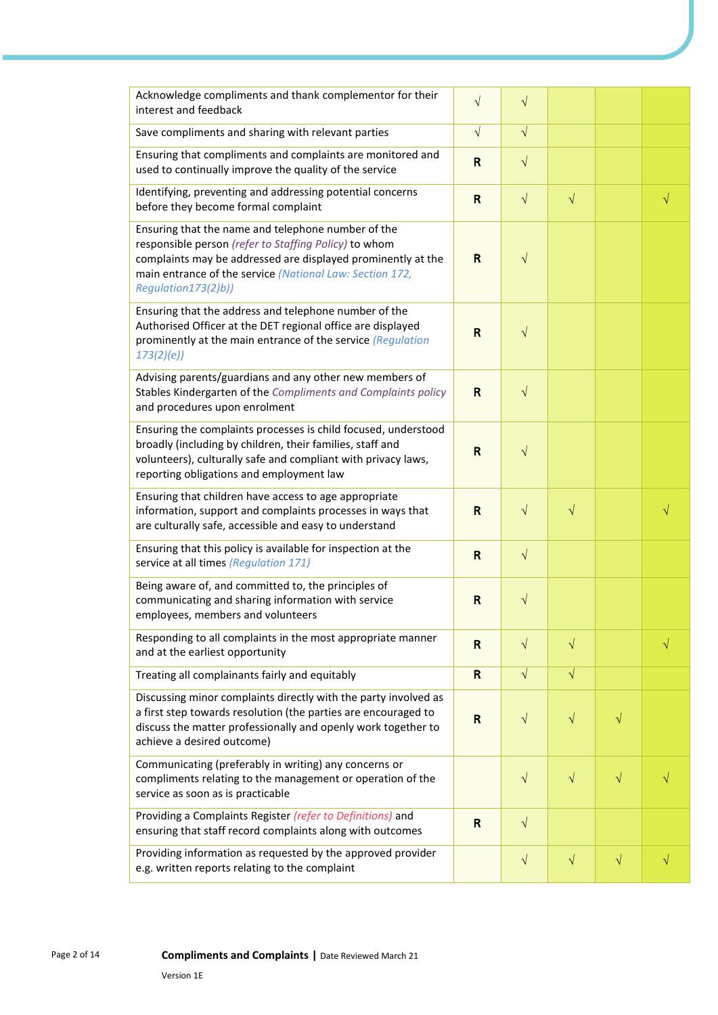| Acknowledge compliments and thank complementor for their<br>interest and feedback                                                                                                                                                                              | $\sqrt{}$    | $\sqrt{}$  |           |           |           |
|----------------------------------------------------------------------------------------------------------------------------------------------------------------------------------------------------------------------------------------------------------------|--------------|------------|-----------|-----------|-----------|
| Save compliments and sharing with relevant parties                                                                                                                                                                                                             | $\sqrt{}$    | $\sqrt{ }$ |           |           |           |
| Ensuring that compliments and complaints are monitored and<br>used to continually improve the quality of the service                                                                                                                                           | $\mathsf{R}$ | $\sqrt{ }$ |           |           |           |
| Identifying, preventing and addressing potential concerns<br>before they become formal complaint                                                                                                                                                               | $\mathsf{R}$ | $\sqrt{ }$ | $\sqrt{}$ |           | $\sqrt{}$ |
| Ensuring that the name and telephone number of the<br>responsible person (refer to Staffing Policy) to whom<br>complaints may be addressed are displayed prominently at the<br>main entrance of the service (National Law: Section 172,<br>Regulation173(2)b)) | $\mathsf{R}$ | $\sqrt{}$  |           |           |           |
| Ensuring that the address and telephone number of the<br>Authorised Officer at the DET regional office are displayed<br>prominently at the main entrance of the service (Regulation<br>173(2)(e)                                                               | $\mathsf{R}$ | $\sqrt{}$  |           |           |           |
| Advising parents/guardians and any other new members of<br>Stables Kindergarten of the Compliments and Complaints policy<br>and procedures upon enrolment                                                                                                      | $\mathsf{R}$ | $\sqrt{}$  |           |           |           |
| Ensuring the complaints processes is child focused, understood<br>broadly (including by children, their families, staff and<br>volunteers), culturally safe and compliant with privacy laws,<br>reporting obligations and employment law                       | $\mathsf R$  | $\sqrt{}$  |           |           |           |
| Ensuring that children have access to age appropriate<br>information, support and complaints processes in ways that<br>are culturally safe, accessible and easy to understand                                                                                  | $\mathsf{R}$ | $\sqrt{}$  | $\sqrt{}$ |           |           |
| Ensuring that this policy is available for inspection at the<br>service at all times (Regulation 171)                                                                                                                                                          | $\mathsf{R}$ | $\sqrt{ }$ |           |           |           |
| Being aware of, and committed to, the principles of<br>communicating and sharing information with service<br>employees, members and volunteers                                                                                                                 | $\mathsf{R}$ | $\sqrt{}$  |           |           |           |
| Responding to all complaints in the most appropriate manner<br>and at the earliest opportunity                                                                                                                                                                 | $\mathsf{R}$ | $\sqrt{}$  | $\sqrt{}$ |           |           |
| Treating all complainants fairly and equitably                                                                                                                                                                                                                 | $\mathsf{R}$ | $\sqrt{ }$ | $\sqrt{}$ |           |           |
| Discussing minor complaints directly with the party involved as<br>a first step towards resolution (the parties are encouraged to<br>discuss the matter professionally and openly work together to<br>achieve a desired outcome)                               | $\mathsf{R}$ | $\sqrt{}$  | $\sqrt{}$ | $\sqrt{}$ |           |
| Communicating (preferably in writing) any concerns or<br>compliments relating to the management or operation of the<br>service as soon as is practicable                                                                                                       |              | $\sqrt{}$  | $\sqrt{}$ | $\sqrt{}$ |           |
| Providing a Complaints Register (refer to Definitions) and<br>ensuring that staff record complaints along with outcomes                                                                                                                                        | $\mathbf R$  | $\sqrt{}$  |           |           |           |
| Providing information as requested by the approved provider<br>e.g. written reports relating to the complaint                                                                                                                                                  |              | $\sqrt{}$  | $\sqrt{}$ | $\sqrt{}$ | $\sqrt{}$ |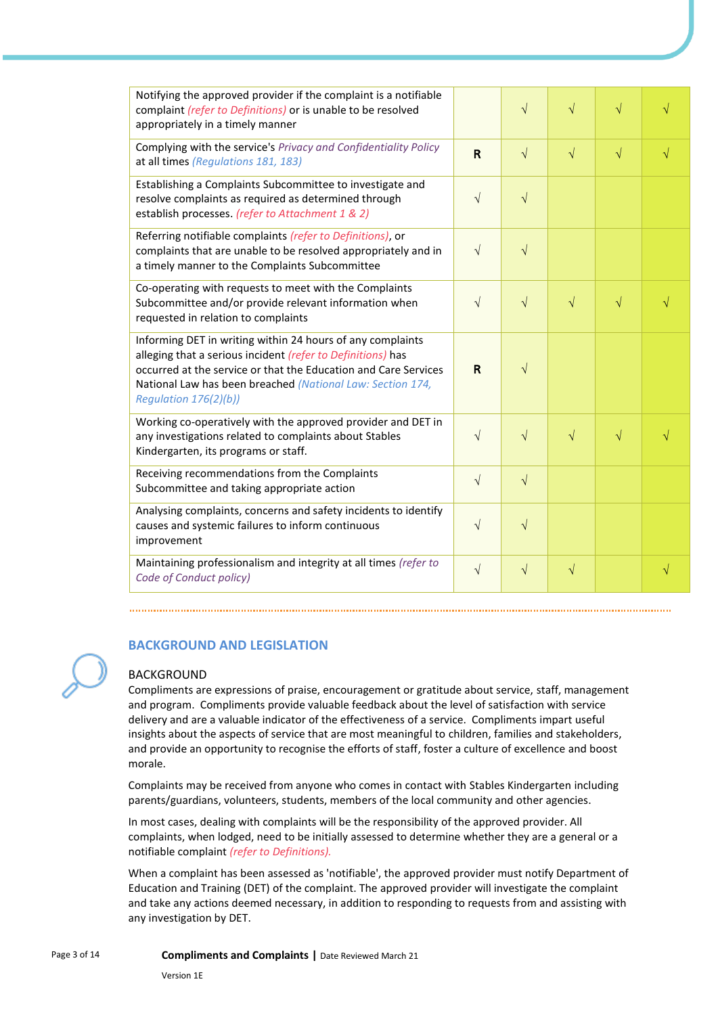| Notifying the approved provider if the complaint is a notifiable<br>complaint (refer to Definitions) or is unable to be resolved<br>appropriately in a timely manner                                                                                                                |            | $\sqrt{}$  | $\sqrt{}$ | $\sqrt{}$ |           |
|-------------------------------------------------------------------------------------------------------------------------------------------------------------------------------------------------------------------------------------------------------------------------------------|------------|------------|-----------|-----------|-----------|
| Complying with the service's Privacy and Confidentiality Policy<br>at all times (Regulations 181, 183)                                                                                                                                                                              | R          | $\sqrt{ }$ | $\sqrt{}$ | $\sqrt{}$ | $\sqrt{}$ |
| Establishing a Complaints Subcommittee to investigate and<br>resolve complaints as required as determined through<br>establish processes. (refer to Attachment 1 & 2)                                                                                                               | $\sqrt{}$  | $\sqrt{}$  |           |           |           |
| Referring notifiable complaints (refer to Definitions), or<br>complaints that are unable to be resolved appropriately and in<br>a timely manner to the Complaints Subcommittee                                                                                                      | $\sqrt{}$  | $\sqrt{}$  |           |           |           |
| Co-operating with requests to meet with the Complaints<br>Subcommittee and/or provide relevant information when<br>requested in relation to complaints                                                                                                                              | $\sqrt{}$  | $\sqrt{}$  | $\sqrt{}$ | $\sqrt{}$ |           |
| Informing DET in writing within 24 hours of any complaints<br>alleging that a serious incident (refer to Definitions) has<br>occurred at the service or that the Education and Care Services<br>National Law has been breached (National Law: Section 174,<br>Regulation 176(2)(b)) | R          | $\sqrt{ }$ |           |           |           |
| Working co-operatively with the approved provider and DET in<br>any investigations related to complaints about Stables<br>Kindergarten, its programs or staff.                                                                                                                      | $\sqrt{ }$ | $\sqrt{}$  | $\sqrt{}$ | $\sqrt{}$ |           |
| Receiving recommendations from the Complaints<br>Subcommittee and taking appropriate action                                                                                                                                                                                         |            | $\sqrt{}$  |           |           |           |
| Analysing complaints, concerns and safety incidents to identify<br>causes and systemic failures to inform continuous<br>improvement                                                                                                                                                 | $\sqrt{}$  | $\sqrt{}$  |           |           |           |
| Maintaining professionalism and integrity at all times (refer to<br>Code of Conduct policy)                                                                                                                                                                                         | $\sqrt{}$  | $\sqrt{}$  | $\sqrt{}$ |           | $\sqrt{}$ |

#### **BACKGROUND AND LEGISLATION**

#### BACKGROUND

Compliments are expressions of praise, encouragement or gratitude about service, staff, management and program. Compliments provide valuable feedback about the level of satisfaction with service delivery and are a valuable indicator of the effectiveness of a service. Compliments impart useful insights about the aspects of service that are most meaningful to children, families and stakeholders, and provide an opportunity to recognise the efforts of staff, foster a culture of excellence and boost morale.

Complaints may be received from anyone who comes in contact with Stables Kindergarten including parents/guardians, volunteers, students, members of the local community and other agencies.

In most cases, dealing with complaints will be the responsibility of the approved provider. All complaints, when lodged, need to be initially assessed to determine whether they are a general or a notifiable complaint *(refer to Definitions).*

When a complaint has been assessed as 'notifiable', the approved provider must notify Department of Education and Training (DET) of the complaint. The approved provider will investigate the complaint and take any actions deemed necessary, in addition to responding to requests from and assisting with any investigation by DET.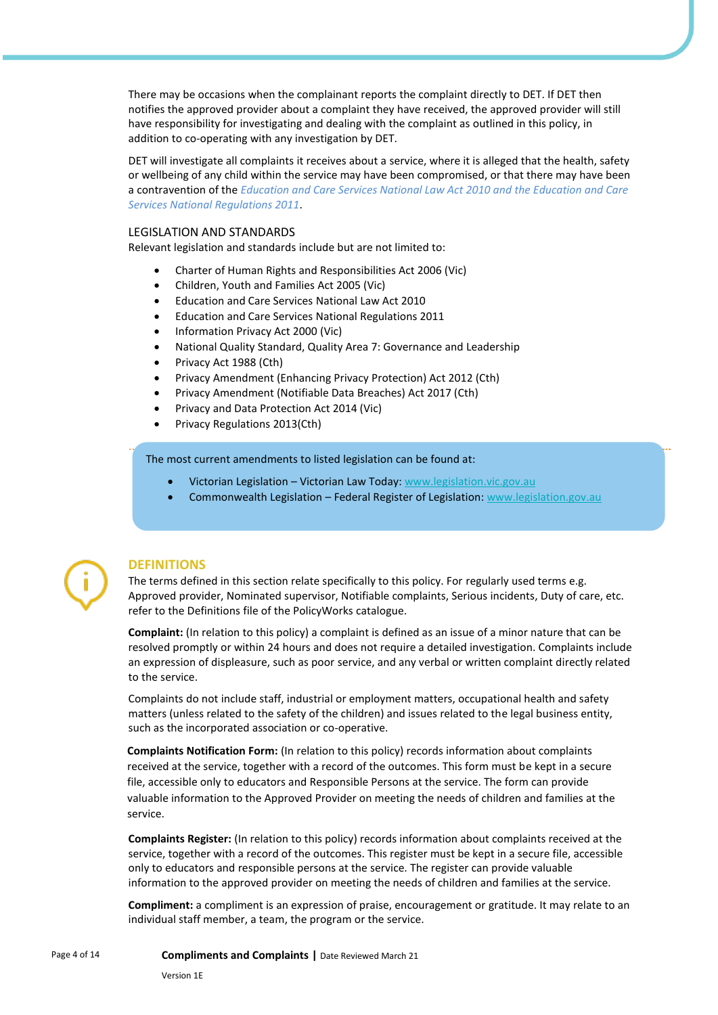There may be occasions when the complainant reports the complaint directly to DET. If DET then notifies the approved provider about a complaint they have received, the approved provider will still have responsibility for investigating and dealing with the complaint as outlined in this policy, in addition to co-operating with any investigation by DET.

DET will investigate all complaints it receives about a service, where it is alleged that the health, safety or wellbeing of any child within the service may have been compromised, or that there may have been a contravention of the *Education and Care Services National Law Act 2010 and the Education and Care Services National Regulations 2011*.

#### LEGISLATION AND STANDARDS

Relevant legislation and standards include but are not limited to:

- Charter of Human Rights and Responsibilities Act 2006 (Vic)
- Children, Youth and Families Act 2005 (Vic)
- Education and Care Services National Law Act 2010
- Education and Care Services National Regulations 2011
- Information Privacy Act 2000 (Vic)
- National Quality Standard, Quality Area 7: Governance and Leadership
- Privacy Act 1988 (Cth)
- Privacy Amendment (Enhancing Privacy Protection) Act 2012 (Cth)
- Privacy Amendment (Notifiable Data Breaches) Act 2017 (Cth)
- Privacy and Data Protection Act 2014 (Vic)
- Privacy Regulations 2013(Cth)

#### The most current amendments to listed legislation can be found at:

- Victorian Legislation Victorian Law Today[: www.legislation.vic.gov.au](http://www.legislation.vic.gov.au/)
- Commonwealth Legislation Federal Register of Legislation: [www.legislation.gov.au](http://www.legislation.gov.au/)



#### **DEFINITIONS**

The terms defined in this section relate specifically to this policy. For regularly used terms e.g. Approved provider, Nominated supervisor, Notifiable complaints, Serious incidents, Duty of care, etc. refer to the Definitions file of the PolicyWorks catalogue.

**Complaint:** (In relation to this policy) a complaint is defined as an issue of a minor nature that can be resolved promptly or within 24 hours and does not require a detailed investigation. Complaints include an expression of displeasure, such as poor service, and any verbal or written complaint directly related to the service.

Complaints do not include staff, industrial or employment matters, occupational health and safety matters (unless related to the safety of the children) and issues related to the legal business entity, such as the incorporated association or co-operative.

**Complaints Notification Form:** (In relation to this policy) records information about complaints received at the service, together with a record of the outcomes. This form must be kept in a secure file, accessible only to educators and Responsible Persons at the service. The form can provide valuable information to the Approved Provider on meeting the needs of children and families at the service.

**Complaints Register:** (In relation to this policy) records information about complaints received at the service, together with a record of the outcomes. This register must be kept in a secure file, accessible only to educators and responsible persons at the service. The register can provide valuable information to the approved provider on meeting the needs of children and families at the service.

**Compliment:** a compliment is an expression of praise, encouragement or gratitude. It may relate to an individual staff member, a team, the program or the service.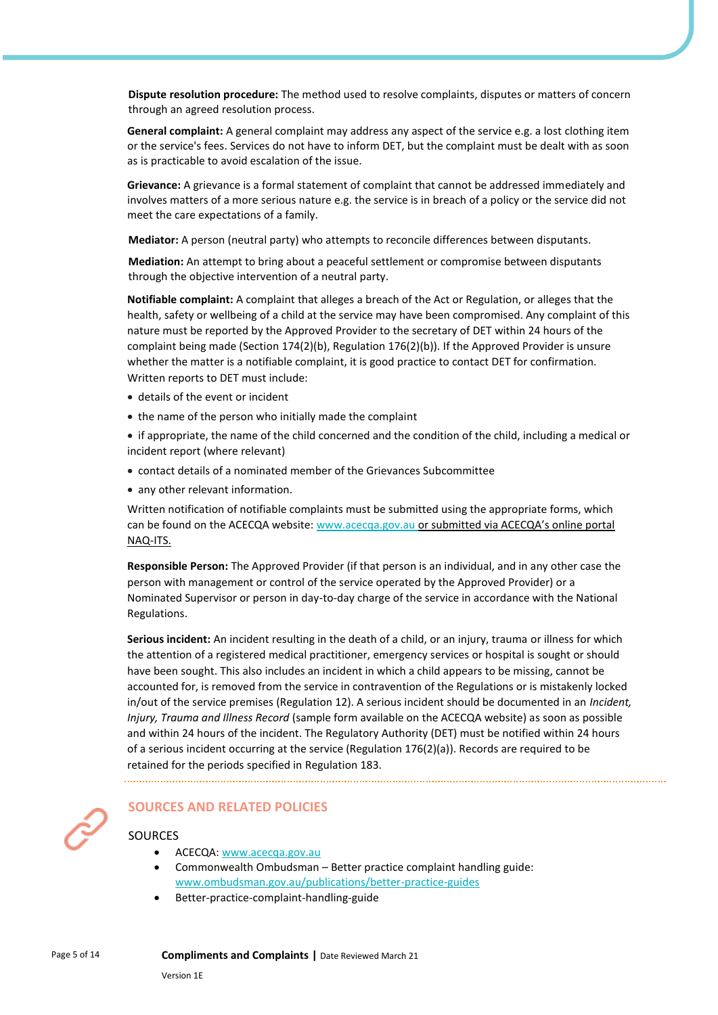**Dispute resolution procedure:** The method used to resolve complaints, disputes or matters of concern through an agreed resolution process.

**General complaint:** A general complaint may address any aspect of the service e.g. a lost clothing item or the service's fees. Services do not have to inform DET, but the complaint must be dealt with as soon as is practicable to avoid escalation of the issue.

**Grievance:** A grievance is a formal statement of complaint that cannot be addressed immediately and involves matters of a more serious nature e.g. the service is in breach of a policy or the service did not meet the care expectations of a family.

**Mediator:** A person (neutral party) who attempts to reconcile differences between disputants.

**Mediation:** An attempt to bring about a peaceful settlement or compromise between disputants through the objective intervention of a neutral party.

**Notifiable complaint:** A complaint that alleges a breach of the Act or Regulation, or alleges that the health, safety or wellbeing of a child at the service may have been compromised. Any complaint of this nature must be reported by the Approved Provider to the secretary of DET within 24 hours of the complaint being made (Section 174(2)(b), Regulation 176(2)(b)). If the Approved Provider is unsure whether the matter is a notifiable complaint, it is good practice to contact DET for confirmation. Written reports to DET must include:

- details of the event or incident
- the name of the person who initially made the complaint
- if appropriate, the name of the child concerned and the condition of the child, including a medical or incident report (where relevant)
- contact details of a nominated member of the Grievances Subcommittee
- any other relevant information.

Written notification of notifiable complaints must be submitted using the appropriate forms, which can be found on the ACECQA website[: www.acecqa.gov.au](http://www.acecqa.gov.au/) or submitted via ACECQA's online portal NAQ-ITS.

**Responsible Person:** The Approved Provider (if that person is an individual, and in any other case the person with management or control of the service operated by the Approved Provider) or a Nominated Supervisor or person in day-to-day charge of the service in accordance with the National Regulations.

**Serious incident:** An incident resulting in the death of a child, or an injury, trauma or illness for which the attention of a registered medical practitioner, emergency services or hospital is sought or should have been sought. This also includes an incident in which a child appears to be missing, cannot be accounted for, is removed from the service in contravention of the Regulations or is mistakenly locked in/out of the service premises (Regulation 12). A serious incident should be documented in an *Incident, Injury, Trauma and Illness Record* (sample form available on the ACECQA website) as soon as possible and within 24 hours of the incident. The Regulatory Authority (DET) must be notified within 24 hours of a serious incident occurring at the service (Regulation 176(2)(a)). Records are required to be retained for the periods specified in Regulation 183.

# **SOURCES AND RELATED POLICIES**

#### **SOURCES**

- ACECQA: [www.acecqa.gov.au](https://www.acecqa.gov.au/)
- Commonwealth Ombudsman Better practice complaint handling guide: [www.ombudsman.gov.au/publications/better-practice-guides](https://www.ombudsman.gov.au/publications/better-practice-guides)
- Better-practice-complaint-handling-guide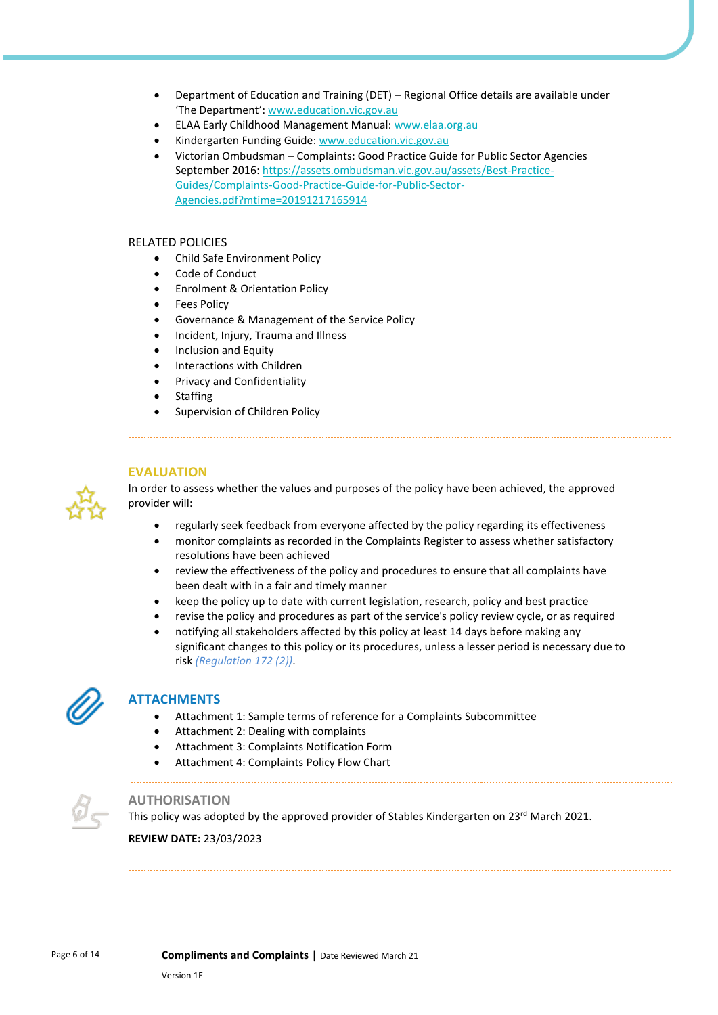- Department of Education and Training (DET) Regional Office details are available under 'The Department': [www.education.vic.gov.au](https://www.education.vic.gov.au/Pages/default.aspx)
- ELAA Early Childhood Management Manual: [www.elaa.org.au](https://elaa.org.au/)
- Kindergarten Funding Guide[: www.education.vic.gov.au](https://www.education.vic.gov.au/Pages/default.aspx)
- Victorian Ombudsman Complaints: Good Practice Guide for Public Sector Agencies September 2016: [https://assets.ombudsman.vic.gov.au/assets/Best-Practice-](https://assets.ombudsman.vic.gov.au/assets/Best-Practice-Guides/Complaints-Good-Practice-Guide-for-Public-Sector-Agencies.pdf?mtime=20191217165914)[Guides/Complaints-Good-Practice-Guide-for-Public-Sector-](https://assets.ombudsman.vic.gov.au/assets/Best-Practice-Guides/Complaints-Good-Practice-Guide-for-Public-Sector-Agencies.pdf?mtime=20191217165914)[Agencies.pdf?mtime=20191217165914](https://assets.ombudsman.vic.gov.au/assets/Best-Practice-Guides/Complaints-Good-Practice-Guide-for-Public-Sector-Agencies.pdf?mtime=20191217165914)

#### RELATED POLICIES

- Child Safe Environment Policy
- Code of Conduct
- Enrolment & Orientation Policy
- **Fees Policy**
- Governance & Management of the Service Policy
- Incident, Injury, Trauma and Illness
- Inclusion and Equity
- Interactions with Children
- Privacy and Confidentiality
- **Staffing**
- Supervision of Children Policy

#### **EVALUATION**



In order to assess whether the values and purposes of the policy have been achieved, the approved provider will:

- regularly seek feedback from everyone affected by the policy regarding its effectiveness
- monitor complaints as recorded in the Complaints Register to assess whether satisfactory resolutions have been achieved
- review the effectiveness of the policy and procedures to ensure that all complaints have been dealt with in a fair and timely manner
- keep the policy up to date with current legislation, research, policy and best practice
- revise the policy and procedures as part of the service's policy review cycle, or as required
- notifying all stakeholders affected by this policy at least 14 days before making any significant changes to this policy or its procedures, unless a lesser period is necessary due to risk *(Regulation 172 (2))*.



#### **ATTACHMENTS**

- Attachment 1: Sample terms of reference for a Complaints Subcommittee
- Attachment 2: Dealing with complaints
- Attachment 3: Complaints Notification Form
- Attachment 4: Complaints Policy Flow Chart

# **AUTHORISATION**

This policy was adopted by the approved provider of Stables Kindergarten on 23<sup>rd</sup> March 2021.

**REVIEW DATE:** 23/03/2023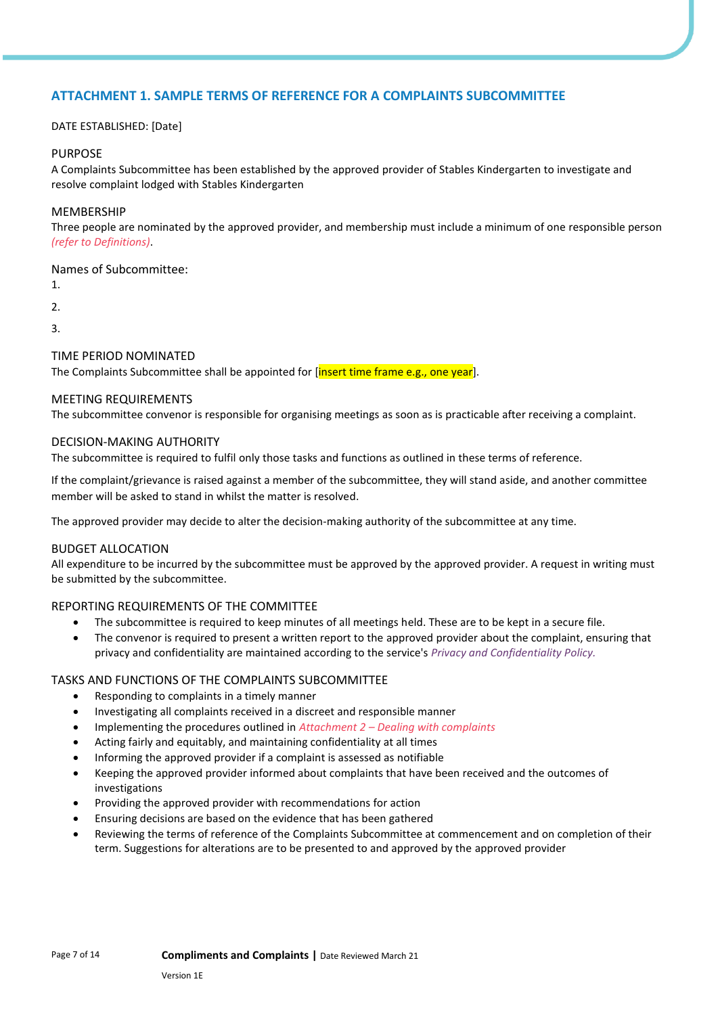# **ATTACHMENT 1. SAMPLE TERMS OF REFERENCE FOR A COMPLAINTS SUBCOMMITTEE**

#### DATE ESTABLISHED: [Date]

#### PURPOSE

A Complaints Subcommittee has been established by the approved provider of Stables Kindergarten to investigate and resolve complaint lodged with Stables Kindergarten

#### MEMBERSHIP

Three people are nominated by the approved provider, and membership must include a minimum of one responsible person *(refer to Definitions)*.

Names of Subcommittee:

1.

2.

3.

#### TIME PERIOD NOMINATED

The Complaints Subcommittee shall be appointed for *[insert time frame e.g., one year]*.

#### MEETING REQUIREMENTS

The subcommittee convenor is responsible for organising meetings as soon as is practicable after receiving a complaint.

#### DECISION-MAKING AUTHORITY

The subcommittee is required to fulfil only those tasks and functions as outlined in these terms of reference.

If the complaint/grievance is raised against a member of the subcommittee, they will stand aside, and another committee member will be asked to stand in whilst the matter is resolved.

The approved provider may decide to alter the decision-making authority of the subcommittee at any time.

#### BUDGET ALLOCATION

All expenditure to be incurred by the subcommittee must be approved by the approved provider. A request in writing must be submitted by the subcommittee.

#### REPORTING REQUIREMENTS OF THE COMMITTEE

- The subcommittee is required to keep minutes of all meetings held. These are to be kept in a secure file.
- The convenor is required to present a written report to the approved provider about the complaint, ensuring that privacy and confidentiality are maintained according to the service's *Privacy and Confidentiality Policy.*

#### TASKS AND FUNCTIONS OF THE COMPLAINTS SUBCOMMITTEE

- Responding to complaints in a timely manner
- Investigating all complaints received in a discreet and responsible manner
- Implementing the procedures outlined in *Attachment 2 – Dealing with complaints*
- Acting fairly and equitably, and maintaining confidentiality at all times
- Informing the approved provider if a complaint is assessed as notifiable
- Keeping the approved provider informed about complaints that have been received and the outcomes of investigations
- Providing the approved provider with recommendations for action
- Ensuring decisions are based on the evidence that has been gathered
- Reviewing the terms of reference of the Complaints Subcommittee at commencement and on completion of their term. Suggestions for alterations are to be presented to and approved by the approved provider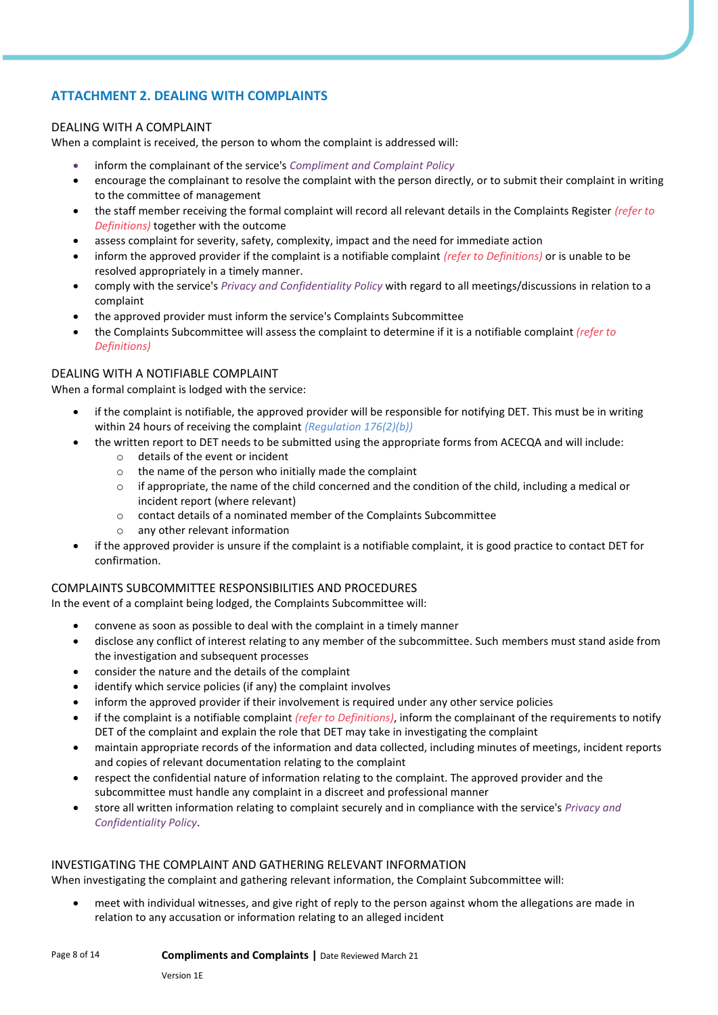# **ATTACHMENT 2. DEALING WITH COMPLAINTS**

#### DEALING WITH A COMPLAINT

When a complaint is received, the person to whom the complaint is addressed will:

- inform the complainant of the service's *Compliment and Complaint Policy*
- encourage the complainant to resolve the complaint with the person directly, or to submit their complaint in writing to the committee of management
- the staff member receiving the formal complaint will record all relevant details in the Complaints Register *(refer to Definitions)* together with the outcome
- assess complaint for severity, safety, complexity, impact and the need for immediate action
- inform the approved provider if the complaint is a notifiable complaint *(refer to Definitions)* or is unable to be resolved appropriately in a timely manner.
- comply with the service's *Privacy and Confidentiality Policy* with regard to all meetings/discussions in relation to a complaint
- the approved provider must inform the service's Complaints Subcommittee
- the Complaints Subcommittee will assess the complaint to determine if it is a notifiable complaint *(refer to Definitions)*

#### DEALING WITH A NOTIFIABLE COMPLAINT

When a formal complaint is lodged with the service:

- if the complaint is notifiable, the approved provider will be responsible for notifying DET. This must be in writing within 24 hours of receiving the complaint *(Regulation 176(2)(b))*
- the written report to DET needs to be submitted using the appropriate forms from ACECQA and will include:
	- o details of the event or incident
	- $\circ$  the name of the person who initially made the complaint
	- $\circ$  if appropriate, the name of the child concerned and the condition of the child, including a medical or incident report (where relevant)
	- o contact details of a nominated member of the Complaints Subcommittee
	- o any other relevant information
- if the approved provider is unsure if the complaint is a notifiable complaint, it is good practice to contact DET for confirmation.

#### COMPLAINTS SUBCOMMITTEE RESPONSIBILITIES AND PROCEDURES

In the event of a complaint being lodged, the Complaints Subcommittee will:

- convene as soon as possible to deal with the complaint in a timely manner
- disclose any conflict of interest relating to any member of the subcommittee. Such members must stand aside from the investigation and subsequent processes
- consider the nature and the details of the complaint
- identify which service policies (if any) the complaint involves
- inform the approved provider if their involvement is required under any other service policies
- if the complaint is a notifiable complaint *(refer to Definitions)*, inform the complainant of the requirements to notify DET of the complaint and explain the role that DET may take in investigating the complaint
- maintain appropriate records of the information and data collected, including minutes of meetings, incident reports and copies of relevant documentation relating to the complaint
- respect the confidential nature of information relating to the complaint. The approved provider and the subcommittee must handle any complaint in a discreet and professional manner
- store all written information relating to complaint securely and in compliance with the service's *Privacy and Confidentiality Policy*.

#### INVESTIGATING THE COMPLAINT AND GATHERING RELEVANT INFORMATION

When investigating the complaint and gathering relevant information, the Complaint Subcommittee will:

• meet with individual witnesses, and give right of reply to the person against whom the allegations are made in relation to any accusation or information relating to an alleged incident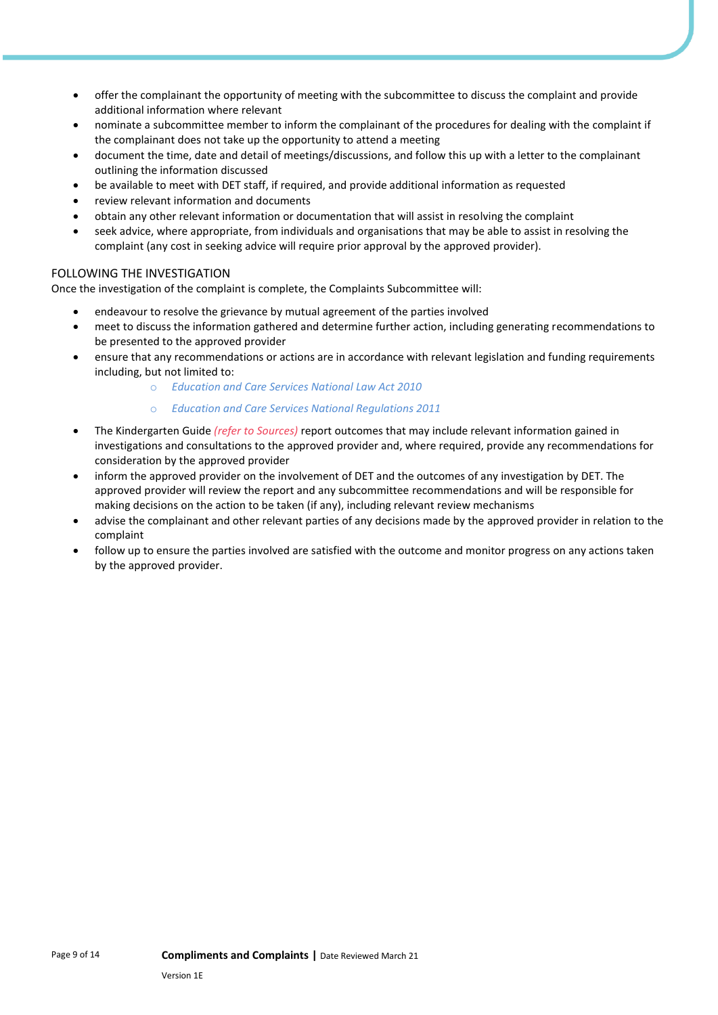- offer the complainant the opportunity of meeting with the subcommittee to discuss the complaint and provide additional information where relevant
- nominate a subcommittee member to inform the complainant of the procedures for dealing with the complaint if the complainant does not take up the opportunity to attend a meeting
- document the time, date and detail of meetings/discussions, and follow this up with a letter to the complainant outlining the information discussed
- be available to meet with DET staff, if required, and provide additional information as requested
- review relevant information and documents
- obtain any other relevant information or documentation that will assist in resolving the complaint
- seek advice, where appropriate, from individuals and organisations that may be able to assist in resolving the complaint (any cost in seeking advice will require prior approval by the approved provider).

#### FOLLOWING THE INVESTIGATION

Once the investigation of the complaint is complete, the Complaints Subcommittee will:

- endeavour to resolve the grievance by mutual agreement of the parties involved
- meet to discuss the information gathered and determine further action, including generating recommendations to be presented to the approved provider
- ensure that any recommendations or actions are in accordance with relevant legislation and funding requirements including, but not limited to:
	- o *Education and Care Services National Law Act 2010*
	- o *Education and Care Services National Regulations 2011*
- The Kindergarten Guide *(refer to Sources)* report outcomes that may include relevant information gained in investigations and consultations to the approved provider and, where required, provide any recommendations for consideration by the approved provider
- inform the approved provider on the involvement of DET and the outcomes of any investigation by DET. The approved provider will review the report and any subcommittee recommendations and will be responsible for making decisions on the action to be taken (if any), including relevant review mechanisms
- advise the complainant and other relevant parties of any decisions made by the approved provider in relation to the complaint
- follow up to ensure the parties involved are satisfied with the outcome and monitor progress on any actions taken by the approved provider.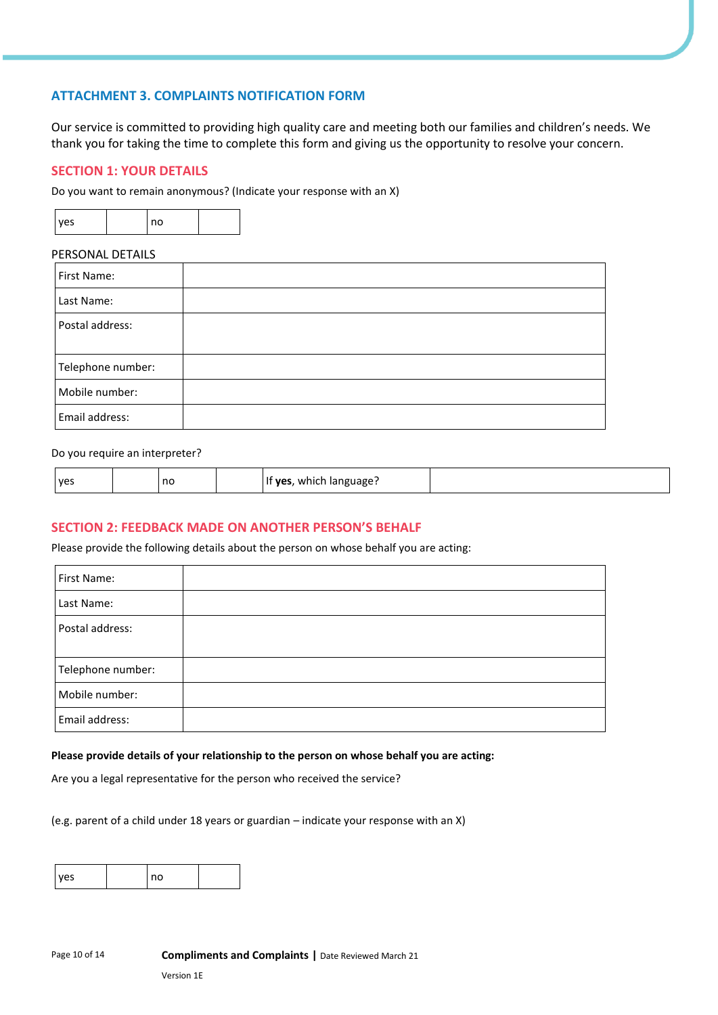# **ATTACHMENT 3. COMPLAINTS NOTIFICATION FORM**

Our service is committed to providing high quality care and meeting both our families and children's needs. We thank you for taking the time to complete this form and giving us the opportunity to resolve your concern.

### **SECTION 1: YOUR DETAILS**

Do you want to remain anonymous? (Indicate your response with an X)

| <b>VPS</b> |  | n٥ |  |
|------------|--|----|--|
|------------|--|----|--|

#### PERSONAL DETAILS

| First Name:       |  |
|-------------------|--|
| Last Name:        |  |
| Postal address:   |  |
| Telephone number: |  |
| Mobile number:    |  |
| Email address:    |  |

#### Do you require an interpreter?

| <b>ves</b> | no |  | which language.<br><b>ves</b> |  |
|------------|----|--|-------------------------------|--|
|------------|----|--|-------------------------------|--|

#### **SECTION 2: FEEDBACK MADE ON ANOTHER PERSON'S BEHALF**

Please provide the following details about the person on whose behalf you are acting:

| First Name:       |  |
|-------------------|--|
| Last Name:        |  |
| Postal address:   |  |
| Telephone number: |  |
| Mobile number:    |  |
| Email address:    |  |

#### **Please provide details of your relationship to the person on whose behalf you are acting:**

Are you a legal representative for the person who received the service?

(e.g. parent of a child under 18 years or guardian – indicate your response with an X)

| nc |  |  |
|----|--|--|
|----|--|--|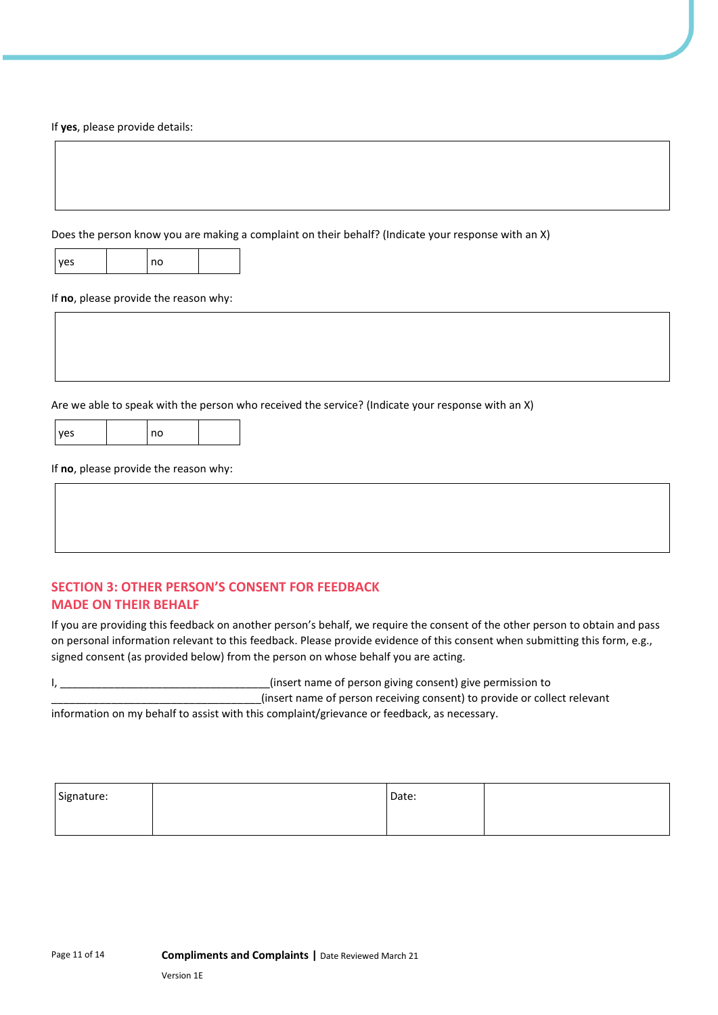If **yes**, please provide details:

Does the person know you are making a complaint on their behalf? (Indicate your response with an X)

| <b>ves</b> |  | no |  |
|------------|--|----|--|
|------------|--|----|--|

If **no**, please provide the reason why:

Are we able to speak with the person who received the service? (Indicate your response with an X)

| yes |  |
|-----|--|

If **no**, please provide the reason why:

no

# **SECTION 3: OTHER PERSON'S CONSENT FOR FEEDBACK MADE ON THEIR BEHALF**

If you are providing this feedback on another person's behalf, we require the consent of the other person to obtain and pass on personal information relevant to this feedback. Please provide evidence of this consent when submitting this form, e.g., signed consent (as provided below) from the person on whose behalf you are acting.

I, the consention of person giving consent) give permission to the consent of person giving consent) give permission to \_\_\_\_\_\_\_\_\_\_\_\_\_\_\_\_\_\_\_\_\_\_\_\_\_\_\_\_\_\_\_\_\_\_\_(insert name of person receiving consent) to provide or collect relevant

information on my behalf to assist with this complaint/grievance or feedback, as necessary.

| Signature: | Date: |  |
|------------|-------|--|
|            |       |  |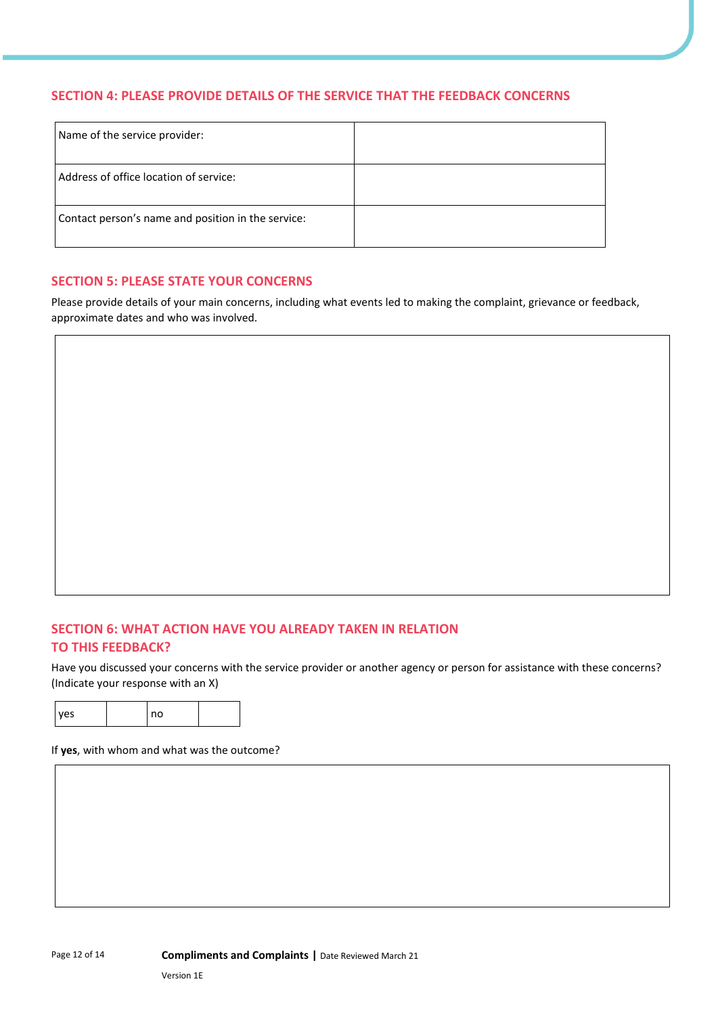### **SECTION 4: PLEASE PROVIDE DETAILS OF THE SERVICE THAT THE FEEDBACK CONCERNS**

| Name of the service provider:                      |  |
|----------------------------------------------------|--|
| Address of office location of service:             |  |
| Contact person's name and position in the service: |  |

#### **SECTION 5: PLEASE STATE YOUR CONCERNS**

Please provide details of your main concerns, including what events led to making the complaint, grievance or feedback, approximate dates and who was involved.

# **SECTION 6: WHAT ACTION HAVE YOU ALREADY TAKEN IN RELATION TO THIS FEEDBACK?**

Have you discussed your concerns with the service provider or another agency or person for assistance with these concerns? (Indicate your response with an X)

| <b>VAS</b> | no |  |
|------------|----|--|

If **yes**, with whom and what was the outcome?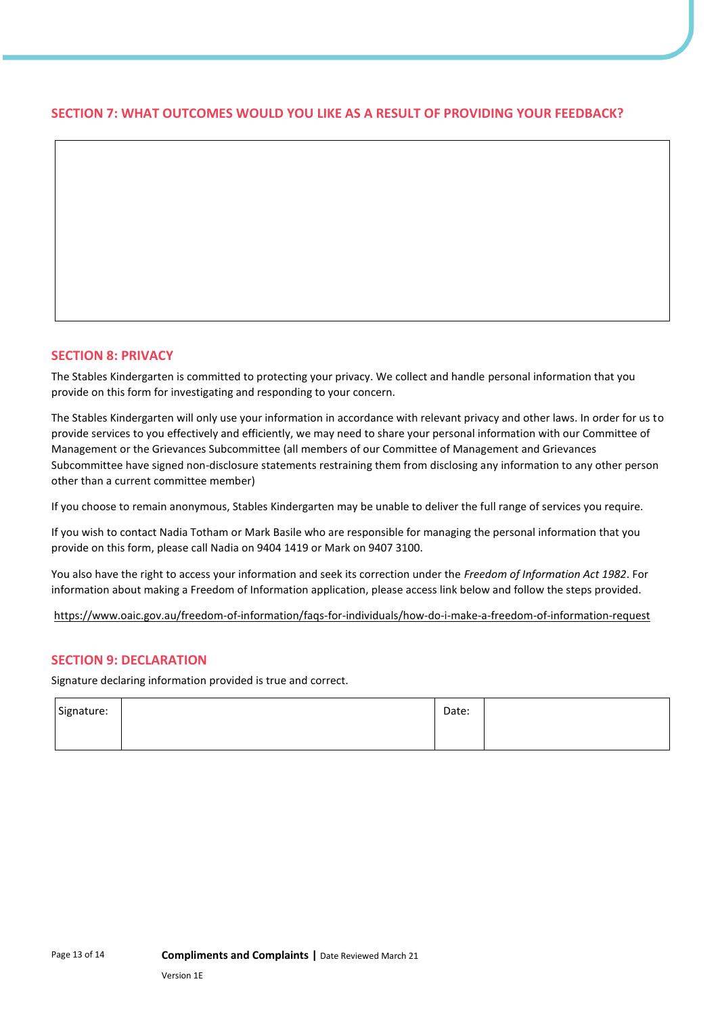# **SECTION 7: WHAT OUTCOMES WOULD YOU LIKE AS A RESULT OF PROVIDING YOUR FEEDBACK?**

#### **SECTION 8: PRIVACY**

The Stables Kindergarten is committed to protecting your privacy. We collect and handle personal information that you provide on this form for investigating and responding to your concern.

The Stables Kindergarten will only use your information in accordance with relevant privacy and other laws. In order for us to provide services to you effectively and efficiently, we may need to share your personal information with our Committee of Management or the Grievances Subcommittee (all members of our Committee of Management and Grievances Subcommittee have signed non-disclosure statements restraining them from disclosing any information to any other person other than a current committee member)

If you choose to remain anonymous, Stables Kindergarten may be unable to deliver the full range of services you require.

If you wish to contact Nadia Totham or Mark Basile who are responsible for managing the personal information that you provide on this form, please call Nadia on 9404 1419 or Mark on 9407 3100.

You also have the right to access your information and seek its correction under the *Freedom of Information Act 1982*. For information about making a Freedom of Information application, please access link below and follow the steps provided.

https://www.oaic.gov.au/freedom-of-information/faqs-for-individuals/how-do-i-make-a-freedom-of-information-request

#### **SECTION 9: DECLARATION**

Signature declaring information provided is true and correct.

| Signature: | Date: |  |
|------------|-------|--|
|            |       |  |